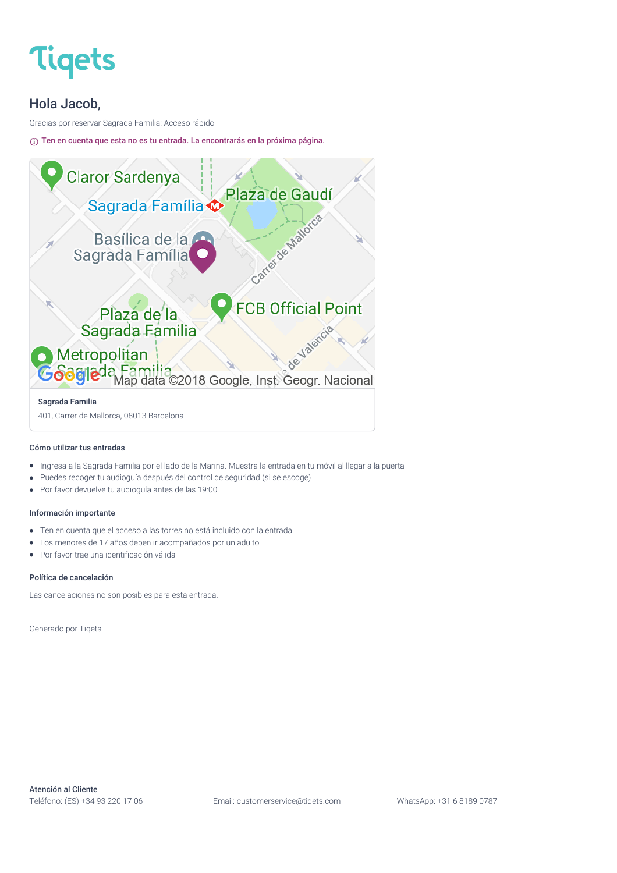

#### Hola Jacob,

Gracias por reservar Sagrada Familia: Acceso rápido

Ten en cuenta que esta no es tu entrada. La encontrarás en la próxima página.



#### Cómo utilizar tus entradas

- Ingresa a la Sagrada Familia por el lado de la Marina. Muestra la entrada en tu móvil al llegar a la puerta  $\bullet$
- Puedes recoger tu audioguía después del control de seguridad (si se escoge)  $\bullet$
- Por favor devuelve tu audioguía antes de las 19:00  $\bullet$

#### Información importante

- Ten en cuenta que el acceso a las torres no está incluido con la entrada  $\bullet$
- Los menores de 17 años deben ir acompañados por un adulto  $\bullet$
- Por favor trae una identificación válida  $\blacksquare$

#### Política de cancelación

Las cancelaciones no son posibles para esta entrada.

Generado por Tiqets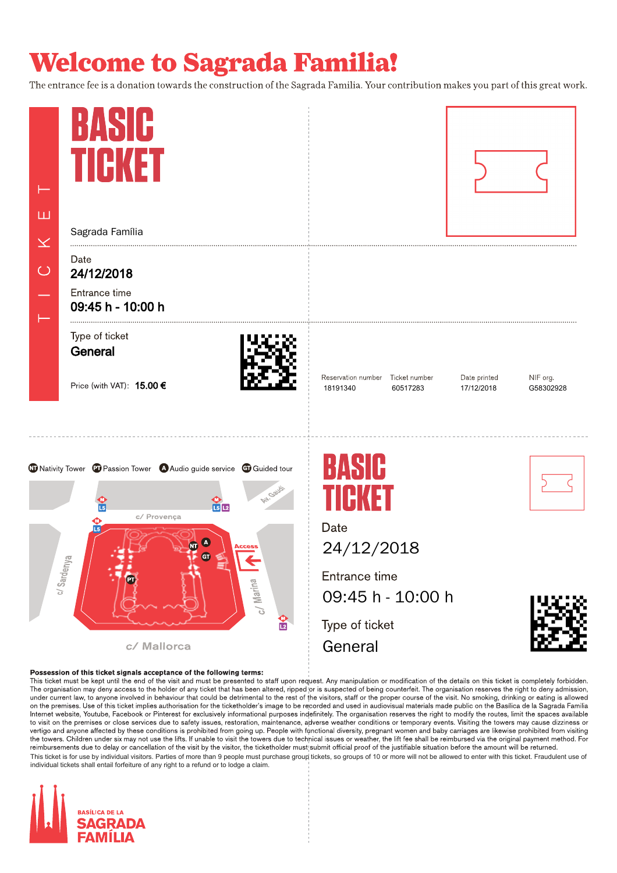The entrance fee is a donation towards the construction of the Sagrada Familia. Your contribution makes you part of this great work.



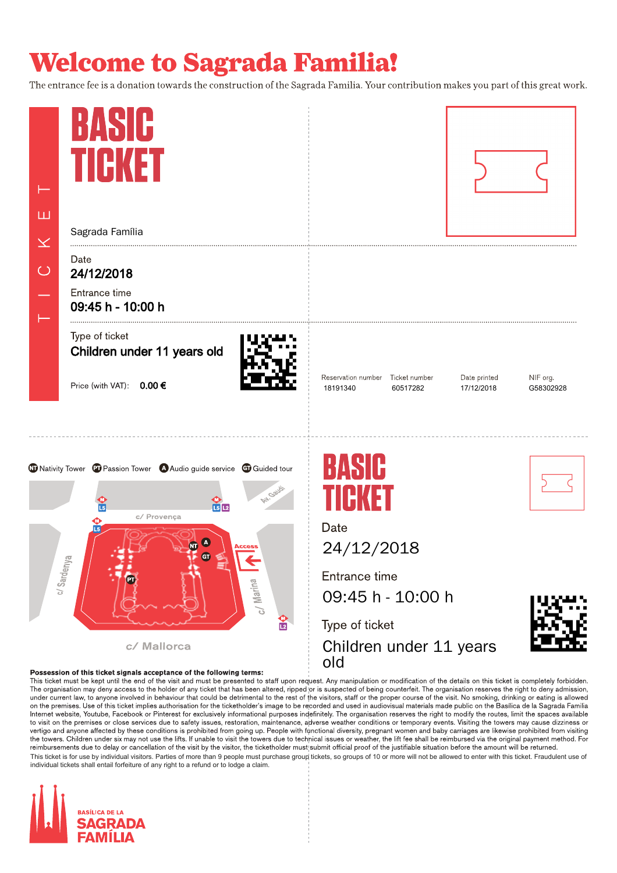The entrance fee is a donation towards the construction of the Sagrada Familia. Your contribution makes you part of this great work.



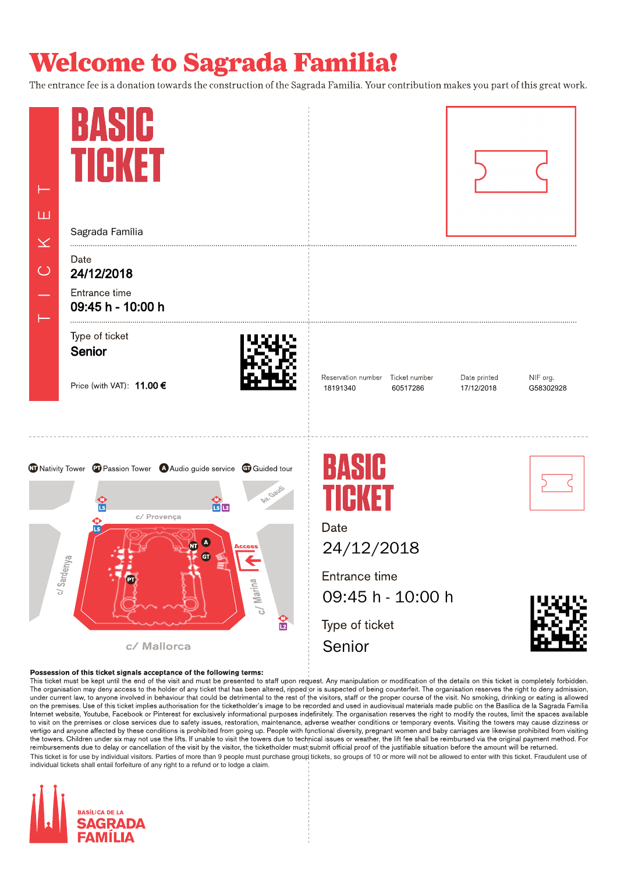The entrance fee is a donation towards the construction of the Sagrada Familia. Your contribution makes you part of this great work.



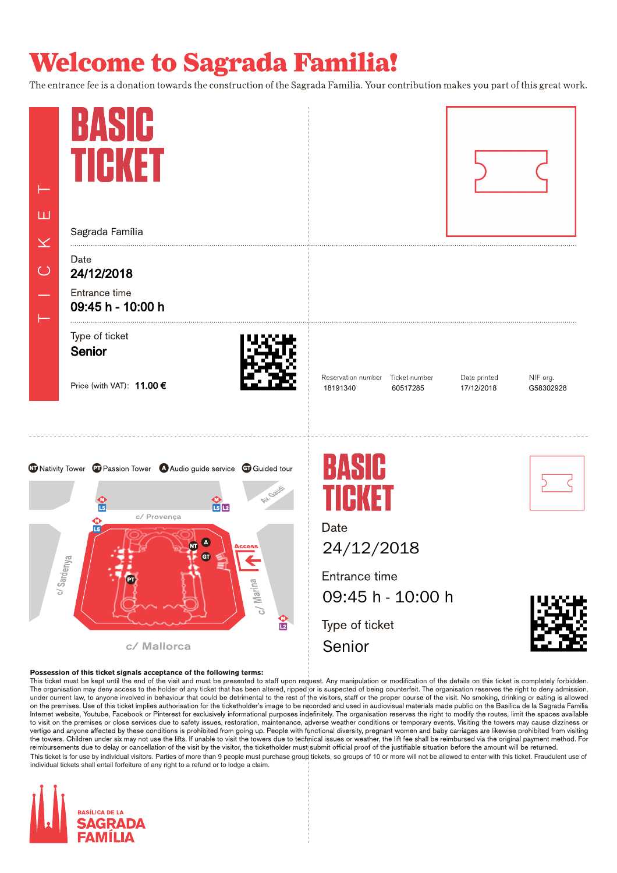The entrance fee is a donation towards the construction of the Sagrada Familia. Your contribution makes you part of this great work.